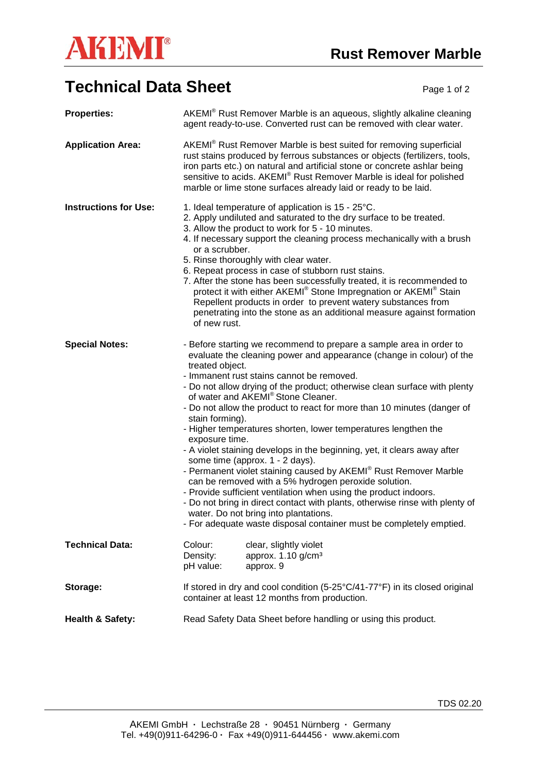

## **Technical Data Sheet** Page 1 of 2

| <b>Properties:</b>           | AKEMI® Rust Remover Marble is an aqueous, slightly alkaline cleaning<br>agent ready-to-use. Converted rust can be removed with clear water.                                                                                                                                                                                                                                                                                                                                                                                                                                                                                                                                                                                                                                                                                                                                                                                                                                                                                     |
|------------------------------|---------------------------------------------------------------------------------------------------------------------------------------------------------------------------------------------------------------------------------------------------------------------------------------------------------------------------------------------------------------------------------------------------------------------------------------------------------------------------------------------------------------------------------------------------------------------------------------------------------------------------------------------------------------------------------------------------------------------------------------------------------------------------------------------------------------------------------------------------------------------------------------------------------------------------------------------------------------------------------------------------------------------------------|
| <b>Application Area:</b>     | AKEMI® Rust Remover Marble is best suited for removing superficial<br>rust stains produced by ferrous substances or objects (fertilizers, tools,<br>iron parts etc.) on natural and artificial stone or concrete ashlar being<br>sensitive to acids. AKEMI® Rust Remover Marble is ideal for polished<br>marble or lime stone surfaces already laid or ready to be laid.                                                                                                                                                                                                                                                                                                                                                                                                                                                                                                                                                                                                                                                        |
| <b>Instructions for Use:</b> | 1. Ideal temperature of application is 15 - 25°C.<br>2. Apply undiluted and saturated to the dry surface to be treated.<br>3. Allow the product to work for 5 - 10 minutes.<br>4. If necessary support the cleaning process mechanically with a brush<br>or a scrubber.<br>5. Rinse thoroughly with clear water.<br>6. Repeat process in case of stubborn rust stains.<br>7. After the stone has been successfully treated, it is recommended to<br>protect it with either AKEMI <sup>®</sup> Stone Impregnation or AKEMI <sup>®</sup> Stain<br>Repellent products in order to prevent watery substances from<br>penetrating into the stone as an additional measure against formation<br>of new rust.                                                                                                                                                                                                                                                                                                                          |
| <b>Special Notes:</b>        | - Before starting we recommend to prepare a sample area in order to<br>evaluate the cleaning power and appearance (change in colour) of the<br>treated object.<br>- Immanent rust stains cannot be removed.<br>- Do not allow drying of the product; otherwise clean surface with plenty<br>of water and AKEMI® Stone Cleaner.<br>- Do not allow the product to react for more than 10 minutes (danger of<br>stain forming).<br>- Higher temperatures shorten, lower temperatures lengthen the<br>exposure time.<br>- A violet staining develops in the beginning, yet, it clears away after<br>some time (approx. 1 - 2 days).<br>- Permanent violet staining caused by AKEMI® Rust Remover Marble<br>can be removed with a 5% hydrogen peroxide solution.<br>- Provide sufficient ventilation when using the product indoors.<br>- Do not bring in direct contact with plants, otherwise rinse with plenty of<br>water. Do not bring into plantations.<br>- For adequate waste disposal container must be completely emptied. |
| <b>Technical Data:</b>       | Colour:<br>clear, slightly violet<br>Density:<br>approx. 1.10 g/cm <sup>3</sup><br>pH value:<br>approx. 9                                                                                                                                                                                                                                                                                                                                                                                                                                                                                                                                                                                                                                                                                                                                                                                                                                                                                                                       |
| Storage:                     | If stored in dry and cool condition (5-25°C/41-77°F) in its closed original<br>container at least 12 months from production.                                                                                                                                                                                                                                                                                                                                                                                                                                                                                                                                                                                                                                                                                                                                                                                                                                                                                                    |
| <b>Health &amp; Safety:</b>  | Read Safety Data Sheet before handling or using this product.                                                                                                                                                                                                                                                                                                                                                                                                                                                                                                                                                                                                                                                                                                                                                                                                                                                                                                                                                                   |